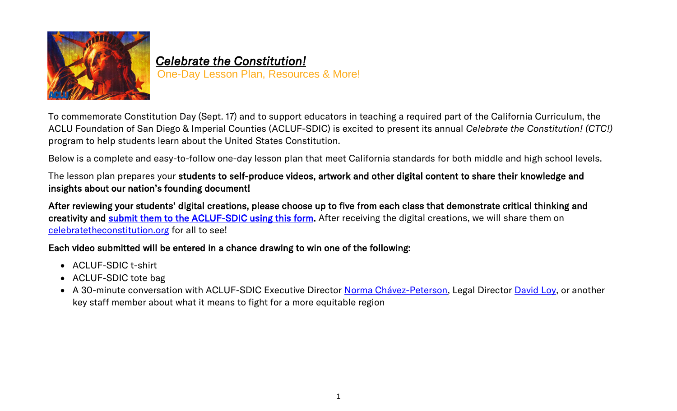

## *Celebrate the Constitution!*  One-Day Lesson Plan, Resources & More!

To commemorate Constitution Day (Sept. 17) and to support educators in teaching a required part of the California Curriculum, the ACLU Foundation of San Diego & Imperial Counties (ACLUF-SDIC) is excited to present its annual *Celebrate the Constitution! (CTC!)* program to help students learn about the United States Constitution.

Below is a complete and easy-to-follow one-day lesson plan that meet California standards for both middle and high school levels.

The lesson plan prepares your students to self-produce videos, artwork and other digital content to share their knowledge and insights about our nation's founding document!

After reviewing your students' digital creations, please choose up to five from each class that demonstrate critical thinking and creativity and [submit them to the ACLUF-SDIC using this form.](https://form.jotform.com/212344825724152) After receiving the digital creations, we will share them on [celebratetheconstitution.org](file:///C:/Users/ARoss/AppData/Local/Microsoft/Windows/INetCache/Content.Outlook/FXRAGM3T/celebratetheconstitution.org) for all to see!

#### Each video submitted will be entered in a chance drawing to win one of the following:

- ACLUF-SDIC t-shirt
- ACLUF-SDIC tote bag
- A 30-minute conversation with ACLUF-SDIC Executive Director [Norma Chávez-Peterson,](https://www.aclusandiego.org/en/biographies/norma-chavez-peterson) Legal Director [David Loy,](https://www.aclusandiego.org/en/biographies/david-loy) or another key staff member about what it means to fight for a more equitable region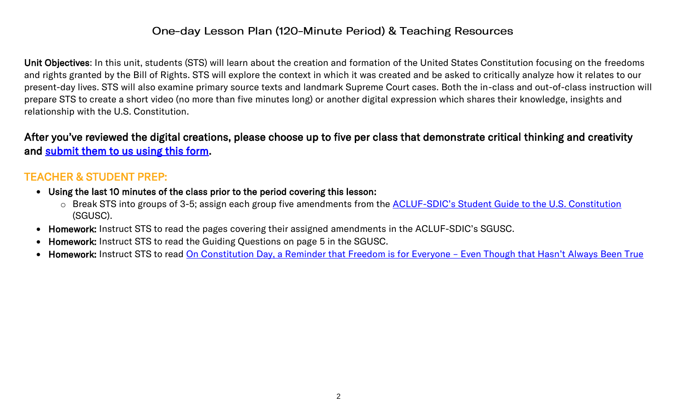#### One-day Lesson Plan (120-Minute Period) & Teaching Resources

Unit Objectives: In this unit, students (STS) will learn about the creation and formation of the United States Constitution focusing on the freedoms and rights granted by the Bill of Rights. STS will explore the context in which it was created and be asked to critically analyze how it relates to our present-day lives. STS will also examine primary source texts and landmark Supreme Court cases. Both the in-class and out-of-class instruction will prepare STS to create a short video (no more than five minutes long) or another digital expression which shares their knowledge, insights and relationship with the U.S. Constitution.

After you've reviewed the digital creations, please choose up to five per class that demonstrate critical thinking and creativity and [submit them to us using this form.](https://form.jotform.com/212344825724152)

### TEACHER & STUDENT PREP:

- Using the last 10 minutes of the class prior to the period covering this lesson:
	- o Break STS into groups of 3-5; assign each group five amendments from the **ACLUF-[SDIC's Student Guide to the U.S. Constitution](https://a78ab217-7a8e-40c7-b2ba-50a27c130e15.usrfiles.com/ugd/a78ab2_d4dd2d5d567b49438cafc57e36609acf.pdf)** (SGUSC).
- Homework: Instruct STS to read the pages covering their assigned amendments in the ACLUF-SDIC's SGUSC.
- Homework: Instruct STS to read the Guiding Questions on page 5 in the SGUSC.
- Homework: Instruct STS to read [On Constitution Day, a Reminder that Freedom is for Everyone](https://www.aclu-wa.org/story/constitution-day-reminder-freedom-everyone-%E2%80%93-even-though-hasn%E2%80%99t-always-been-true)  Even Though that Hasn't Always Been True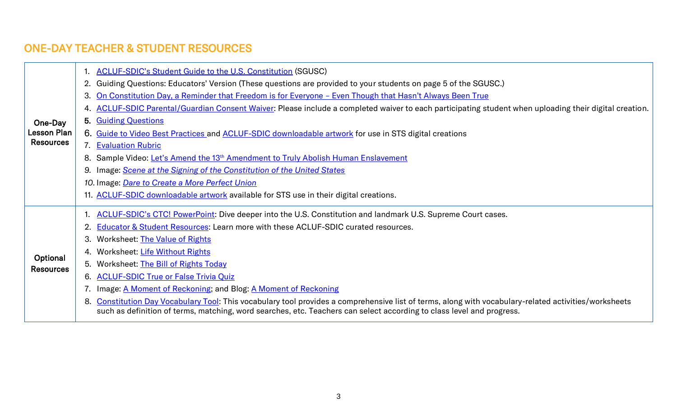# ONE-DAY TEACHER & STUDENT RESOURCES

|                    |    | <b>ACLUF-SDIC's Student Guide to the U.S. Constitution (SGUSC)</b>                                                                                                                                                                                                             |
|--------------------|----|--------------------------------------------------------------------------------------------------------------------------------------------------------------------------------------------------------------------------------------------------------------------------------|
|                    |    | 2. Guiding Questions: Educators' Version (These questions are provided to your students on page 5 of the SGUSC.)                                                                                                                                                               |
|                    |    | 3. On Constitution Day, a Reminder that Freedom is for Everyone - Even Though that Hasn't Always Been True                                                                                                                                                                     |
|                    |    | 4. ACLUF-SDIC Parental/Guardian Consent Waiver: Please include a completed waiver to each participating student when uploading their digital creation.                                                                                                                         |
| One-Day            |    | 5. Guiding Questions                                                                                                                                                                                                                                                           |
| <b>Lesson Plan</b> |    | 6. Guide to Video Best Practices and ACLUF-SDIC downloadable artwork for use in STS digital creations                                                                                                                                                                          |
| <b>Resources</b>   |    | 7. Evaluation Rubric                                                                                                                                                                                                                                                           |
|                    |    | 8. Sample Video: Let's Amend the 13 <sup>th</sup> Amendment to Truly Abolish Human Enslavement                                                                                                                                                                                 |
|                    |    | 9. Image: Scene at the Signing of the Constitution of the United States                                                                                                                                                                                                        |
|                    |    | 10. Image: Dare to Create a More Perfect Union                                                                                                                                                                                                                                 |
|                    |    | 11. ACLUF-SDIC downloadable artwork available for STS use in their digital creations.                                                                                                                                                                                          |
|                    |    | ACLUF-SDIC's CTC! PowerPoint: Dive deeper into the U.S. Constitution and landmark U.S. Supreme Court cases.                                                                                                                                                                    |
|                    |    | 2. Educator & Student Resources: Learn more with these ACLUF-SDIC curated resources.                                                                                                                                                                                           |
|                    | 3. | Worksheet: The Value of Rights                                                                                                                                                                                                                                                 |
| Optional           |    | 4. Worksheet: Life Without Rights                                                                                                                                                                                                                                              |
| <b>Resources</b>   |    | 5. Worksheet: The Bill of Rights Today                                                                                                                                                                                                                                         |
|                    |    | 6. ACLUF-SDIC True or False Trivia Quiz                                                                                                                                                                                                                                        |
|                    |    | 7. Image: A Moment of Reckoning; and Blog: A Moment of Reckoning                                                                                                                                                                                                               |
|                    |    | 8. Constitution Day Vocabulary Tool: This vocabulary tool provides a comprehensive list of terms, along with vocabulary-related activities/worksheets<br>such as definition of terms, matching, word searches, etc. Teachers can select according to class level and progress. |